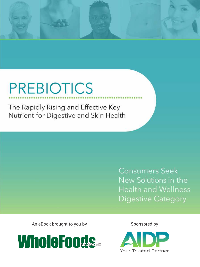# **PREBIOTICS**

The Rapidly Rising and Effective Key Nutrient for Digestive and Skin Health

> **Consumers Seek** New Solutions in the **Health and Wellness Digestive Category**

An eBook brought to you by Sponsored by



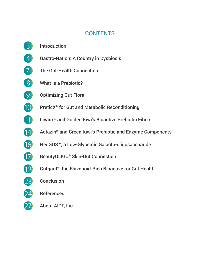## **CONTENTS**

3 Introduction 4 Gastro-Nation: A Country in Dysbiosis **7** The Gut-Health Connection 8 What is a Prebiotic? **9** Optimizing Gut Flora 10 PreticX<sup>®</sup> for Gut and Metabolic Reconditioning 11 Livaux<sup>®</sup> and Golden Kiwi's Bioactive Prebiotic Fibers 14 Actazin<sup>®</sup> and Green Kiwi's Prebiotic and Enzyme Components 16 NeoGOS™, a Low-Glycemic Galacto-oligosaccharide 17 BeautyOLIGO<sup>®</sup> Skin-Gut Connection 19 Gutgard®, the Flavonoid-Rich Bioactive for Gut Health 23 Conclusion 24 References 27 About AIDP, Inc.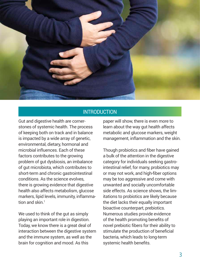

## **INTRODUCTION**

Gut and digestive health are cornerstones of systemic health. The process of keeping both on track and in balance is impacted by a wide array of genetic, environmental, dietary, hormonal and microbial influences. Each of these factors contributes to the growing problem of gut dysbiosis, an imbalance of gut microbiota, which contributes to short-term and chronic gastrointestinal conditions. As the science evolves, there is growing evidence that digestive health also affects metabolism, glucose markers, lipid levels, immunity, inflammation and skin $<sup>1</sup>$ </sup>

We used to think of the gut as simply playing an important role in digestion. Today, we know there is a great deal of interaction between the digestive system and the immune system, as well as the brain for cognition and mood. As this

paper will show, there is even more to learn about the way gut health affects metabolic and glucose markers, weight management, inflammation and the skin.

Though probiotics and fiber have gained a bulk of the attention in the digestive category for individuals seeking gastrointestinal relief, for many, probiotics may or may not work, and high-fiber options may be too aggressive and come with unwanted and socially uncomfortable side effects. As science shows, the limitations to probiotics are likely because the diet lacks their equally important bioactive counterpart, prebiotics. Numerous studies provide evidence of the health promoting benefits of novel prebiotic fibers for their ability to stimulate the production of beneficial bacteria, which leads to long-term systemic health benefits.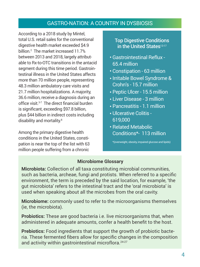## GASTRO-NATION: A COUNTRY IN DYSBIOSIS

According to a 2018 study by Mintel, total U.S. retail sales for the conventional digestive health market exceeded \$4.9 billion.2 The market increased 11.7% between 2013 and 2018, largely attributable to Rx-to-OTC transitions in the antacid segment during this time period. Gastrointestinal illness in the United States affects more than 70 million people, representing 48.3 million ambulatory care visits and 21.7 million hospitalizations. A majority, 36.6 million, receive a diagnosis during an office visit.<sup>3-7</sup> The direct financial burden is significant, exceeding \$97.8 billion, plus \$44 billion in indirect costs including disability and mortality.<sup>8</sup>

Among the primary digestive health conditions in the United States, constipation is near the top of the list with 63 million people suffering from a chronic

## Top Digestive Conditions in the United States<sup>13-17</sup>

- Gastrointestinal Reflux 65.4 million
- Constipation 63 million
- Irritable Bowel Syndrome & Crohn's - 15.7 million
- Peptic Ulcer 15.5 million
- Liver Disease 3 million
- Pancreatitis 1.1 million
- Ulcerative Colitis 619,000
- Related Metabolic Conditions\*- 113 million

\*(overweight, obesity, impaired glucose and lipids)

## **Microbiome Glossary**

**Microbiota:** Collection of all taxa constituting microbial communities, such as bacteria, archeae, fungi and protists. When referred to a specific environment, the term is preceded by the said location, for example, 'the gut microbiota' refers to the intestinal tract and the 'oral microbiota' is used when speaking about all the microbes from the oral cavity.

**Microbiome:** commonly used to refer to the microorganisms themselves (ie, the microbiota).

**Probiotics:** These are good bacteria i.e. live microorganisms that, when administered in adequate amounts, confer a health benefit to the host.

**Prebiotics:** Food ingredients that support the growth of probiotic bacteria. These fermented fibers allow for specific changes in the composition and activity within gastrointestinal microflora.24-27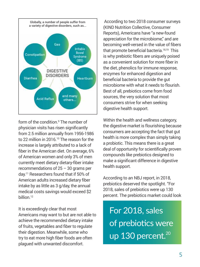

form of the condition.<sup>9</sup> The number of physician visits has risen significantly from 2.5 million annually from 1956-1986 to 22 million in 2016.<sup>10</sup> The reason for the increase is largely attributed to a lack of fiber in the American diet. On average, 6% of American women and only 3% of men currently meet dietary dietary-fiber intake recommendations of  $25 - 30$  grams per day.11 Researchers found that if 50% of American adults increased dietary fiber intake by as little as 3 g/day, the annual medical costs savings would exceed \$2 hillion<sup>12</sup>

It is exceedingly clear that most Americans may want to but are not able to achieve the recommended dietary intake of fruits, vegetables and fiber to regulate their digestion. Meanwhile, some who try to eat more high fiber foods are often plagued with unwanted discomfort.

 According to two 2018 consumer surveys (KIND Nutrition Collective, Consumer Reports), Americans have "a new-found appreciation for the microbiome," and are becoming well-versed in the value of fibers that promote beneficial bacteria.<sup>18,19</sup> This is why prebiotic fibers are uniquely poised as a convenient solution for more fiber in the diet, phenolics for immune response, enzymes for enhanced digestion and beneficial bacteria to provide the gut microbiome with what it needs to flourish. Best of all, prebiotics come from food sources, the very solution that most consumers strive for when seeking digestive health support.

Within the health and wellness category, the digestive market is flourishing because consumers are accepting the fact that gut health is more complex than simply taking a probiotic. This means there is a great deal of opportunity for scientifically proven compounds like prebiotics designed to make a significant difference in digestive health support.

According to an NBJ report, in 2018, prebiotics deserved the spotlight. "For 2018, sales of prebiotics were up 130 percent. The prebiotics market could look

For 2018, sales of prebiotics were up 130 percent.<sup>20</sup>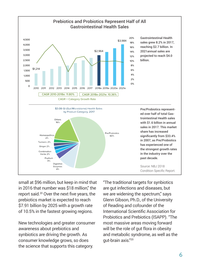

small at \$96 million, but keep in mind that in 2016 that number was \$18 million," the report said.20 Over the next five years, the prebiotics market is expected to reach \$7.91 billion by 2025 with a growth rate of 10.5% in the fastest growing regions.

New technologies and greater consumer awareness about prebiotics and synbiotics are driving the growth. As consumer knowledge grows, so does the science that supports this category.

"The traditional targets for synbiotics are gut infections and diseases, but we are widening the spectrum," says Glenn Gibson, Ph.D., of the University of Reading and cofounder of the International Scientific Association for Probiotics and Prebiotics (ISAPP). "The most massive areas moving forward will be the role of gut flora in obesity and metabolic syndrome, as well as the gut-brain axis."20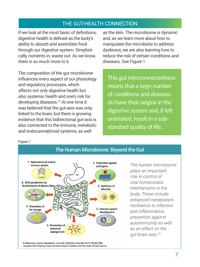## THE GUT-HEALTH CONNECTION

If we look at the most basic of definitions, digestive health is defined as the body's ability to absorb and assimilate food through our digestive system. Simplistically, nutrients in, waste out. As we know, there is so much more to it.

The composition of the gut microbiome influences every aspect of our physiology and regulatory processes, which affects not only digestive health but also systemic health and one's risk for developing diseases.<sup>21</sup> At one time it was believed that the gut-axis was only linked to the brain, but there is growing evidence that this bidirectional gut-axis is also connected to the immune, metabolic and endocannabinoid systems, as well

as the skin. The microbiome is dynamic and, as we learn more about how to manipulate the microbiota to address dysbiosis, we are also learning how to reduce the risk of certain conditions and diseases. See Figure 1.

This gut interconnectedness means that a large number of conditions and diseases do have their origins in the digestive system and, if left untreated, result in a substandard quality of life.

#### Figure 1



*The human microbiome plays an important role in control of vital homeostatic mechanisms in the body. These include enhanced metabolism, resistance to infection and inflammation, prevention against autoimmunity as well as an effect on the gut-brain axis.23*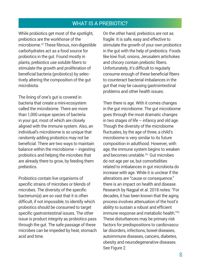## WHAT IS A PREBIOTIC?

While probiotics get most of the spotlight, prebiotics are the workhorse of the microbiome.22 These fibrous, non-digestible carbohydrates act as a food source for probiotics in the gut. Found mostly in plants, prebiotics use soluble fibers to stimulate the growth and proliferation of beneficial bacteria (probiotics) by selectively altering the composition of the gut microbiota.

The lining of one's gut is covered in bacteria that create a mini-ecosystem called the microbiome. There are more than 1,000 unique species of bacteria in your gut, most of which are closely aligned with the immune system. Also, an individual's microbiome is so unique that randomly adding probiotics may not be beneficial. There are two ways to maintain balance within the microbiome – ingesting probiotics and helping the microbes that are already there to grow, by feeding them prebiotics.

Probiotics contain live organisms of specific strains of microbes or blends of microbes. The diversity of the specific bacterium(a) are so vast that it is often difficult, if not impossible, to identify which probiotics should be consumed to target specific gastrointestinal issues. The other issue is product integrity as probiotics pass through the gut. The safe passage of these microbes can be impeded by heat, stomach acid and time.

On the other hand, prebiotics are not as fragile. It is safe, easy and effective to stimulate the growth of your own probiotics in the gut with the help of prebiotics. Foods like kiwi fruit, onions, Jerusalem artichokes and chicory contain prebiotic fibers. Unfortunately, it's difficult to regularly consume enough of these beneficial fibers to counteract bacterial imbalances in the gut that may be causing gastrointestinal problems and other health issues.

Then there is age. With it comes changes in the gut microbiome. The gut microbiome goes through the most dramatic changes in two stages of life  $-$  infancy and old age. Though the diversity of the microbiome fluctuates, by the age of three, a child's microbiome is very similar to its future composition in adulthood. However, with age, the immune system begins to weaken and becomes unstable.<sup>24</sup> Gut microbes do not age per se, but comorbidities related to imbalances in gut microbiota do increase with age. While it is unclear if the alterations are "cause or consequence," there is an impact on health and disease. Research by Nagpal et al. 2018 notes: "For decades, it has been known that the aging process involves attenuation of the host's ability to sustain a robust and efficient immune response and metabolic health."<sup>23</sup> These disturbances may be primary risk factors for predispositions to cardiovascular disorders, infections, bowel diseases, autoimmune diseases, cancers, diabetes, obesity and neurodegenerative diseases. See Figure 2.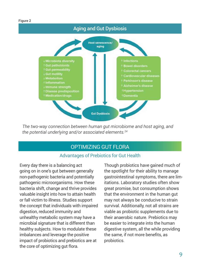

*The two-way connection between human gut microbiome and host aging, and the potential underlying and/or associated elements.24*

## OPTIMIZING GUT FLORA

## Advantages of Prebiotics for Gut Health

Every day there is a balancing act going on in one's gut between generally non-pathogenic bacteria and potentially pathogenic microorganisms. How these bacteria shift, change and thrive provides valuable insight into how to attain health or fall victim to illness. Studies support the concept that individuals with impaired digestion, reduced immunity and unhealthy metabolic system may have a microbial signature that is different than healthy subjects. How to modulate these imbalances and leverage the positive impact of probiotics and prebiotics are at the core of optimizing gut flora.

Though probiotics have gained much of the spotlight for their ability to manage gastrointestinal symptoms, there are limitations. Laboratory studies often show great promise, but consumption shows that the environment in the human gut may not always be conducive to strain survival. Additionally, not all strains are viable as probiotic supplements due to their anaerobic nature. Prebiotics may be easier to integrate into the human digestive system, all the while providing the same, if not more benefits, as probiotics.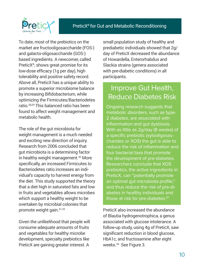

To date, most of the prebiotics on the market are fructooligosaccharide (FOS-) and galacto-oligosaccharide (GOS-) based ingredients. A newcomer, called PreticX®, shows great promise for its low-dose efficacy (1g per day), high tolerability and positive safety record. Above all, PreticX has a unique ability to promote a superior microbiome balance by increasing Bifidobacterium, while optimizing the Firmicutes/Bacteriodetes ratio.28,29 This balanced ratio has been found to affect weight management and metabolic health.

The role of the gut microbiota for weight management is a much needed and exciting new direction of inquiry. Research from 2006 concluded that gut microbiota is a determining factor in healthy weight management.<sup>30</sup> More specifically, an increased Firmicutes to Bacteriodetes ratio increases an individual's capacity to harvest energy from the diet. This study supported the theory that a diet high in saturated fats and low in fruits and vegetables allows microbes which support a healthy weight to be overtaken by microbial colonies that promote weight gain.31-33

Given the unlikelihood that people will consume adequate amounts of fruits and vegetables for healthy microbe development, specialty prebiotics like PreticX are gaining greater interest. A

small population study of healthy and prediabetic individuals showed that 2g/ day of PreticX decreased the abundance of Howardella, Enterorhabdus and Slackia strains (genera associated with pre-diabetic conditions) in all participants.

## Improve Gut Health, Reduce Diabetes Risk

Ongoing research suggests that metabolic disorders, such as type-2 diabetes, are associated with inflammation and gut dysbiosis. With as little as 2g/day (8 weeks) of a specific prebiotic (xylooligosaccharides or XOS) the gut is able to reduce the risk of inflammation and four bacterial taxa that promote the development of pre-diabetes. Researchers conclude that XOS prebiotics, the active ingredients in PreticX, can "potentially promote an optimal gut microbiota profile," and thus reduce the risk of pre-diabetes in healthy individuals and those at risk for pre-diabetes.<sup>87</sup>

PreticX also increased the abundance of Blautia hydrogenotrophica, a genus associated with glucose intolerance. A follow-up study, using 4g of PreticX, saw significant reduction in blood glucose, HbA1c, and fructosamine after eight weeks.34 See Figure 3.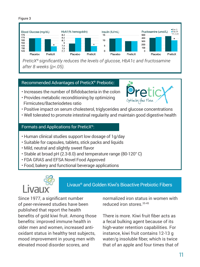#### Figure 3



*PreticX® significantly reduces the levels of glucose, HbA1c and fructosamine after 8 weeks (p<.05).* 

## Recommended Advantages of PreticX® Prebiotic:

- Increases the number of Bifidobacteria in the colon
- Provides metabolic reconditioning by optimizing Firmicutes/Bacteriodetes ratio



- Positive impact on serum cholesterol, triglycerides and glucose concentrations
- Well tolerated to promote intestinal regularity and maintain good digestive health

## Formats and Applications for PreticX®:

- Human clinical studies support low dosage of 1g/day
- Suitable for capsules, tablets, stick packs and liquids
- Mild, neutral and slightly sweet flavor
- Stable at broad pH (2.3-8.0) and temperature range (80-120° C)
- FDA GRAS and EFSA Novel Food Approved
- Food, bakery and functional beverage applications



Livaux® and Golden Kiwi's Bioactive Prebiotic Fibers

Since 1977, a significant number of peer-reviewed studies have been published that report the health benefits of gold kiwi fruit. Among those benefits: improved immune health in older men and women, increased antioxidant status in healthy test subjects, mood improvement in young men with elevated mood disorder scores, and

normalized iron status in women with reduced iron stores.35-45

There is more. Kiwi fruit fiber acts as a fecal bulking agent because of its high-water retention capabilities. For instance, kiwi fruit contains 12-13 g water/g insoluble fiber, which is twice that of an apple and four times that of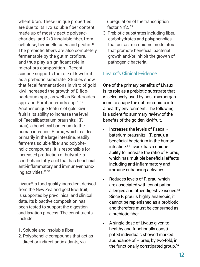wheat bran. These unique properties are due to its 1/3 soluble fiber content, made up of mostly pectic polysaccharides, and 2/3 insoluble fiber, from cellulose, hemicelluloses and pectin.46 The prebiotic fibers are also completely fermentable by the gut microflora, and thus play a significant role in microflora composition. Recent science supports the role of kiwi fruit as a prebiotic substrate. Studies show that fecal fermentations in vitro of gold kiwi increased the growth of Bifidobacterium spp., as well as Bacteroides spp. and Parabacteroids spp.47,48 Another unique feature of gold kiwi fruit is its ability to increase the level of Faecalibacterium prausnitzii (F. prau), a beneficial bacterium to the human intestine. F. prau, which resides primarily in the large intestine, readily ferments soluble fiber and polyphenolic compounds. It is responsible for increased production of butyrate, a short-chain fatty acid that has beneficial anti-inflammatory and immune-enhancing activities.49-52

Livaux®, a food quality ingredient derived from the New Zealand gold kiwi fruit, is supported by pre-clinical and clinical data. Its bioactive composition has been tested to support the digestion and laxation process. The constituents include:

- 1. Soluble and insoluble fiber
- 2. Polyphenolic compounds that act as direct or indirect antioxidants, via

 upregulation of the transcription factor Nrf2. 53

3. Prebiotic substrates including fiber, carbohydrates and polyphenolics that act as microbiome modulators that promote beneficial bacterial growth and/or inhibit the growth of pathogenic bacteria.

## Livaux® 's Clinical Evidence

One of the primary benefits of Livaux is its role as a prebiotic substrate that is selectively used by host microorganisms to shape the gut microbiota into a healthy environment. The following is a scientific summary review of the benefits of the golden kiwifruit.

- Increases the levels of Faecalibaterium prausnitzii (F. prau), a beneficial bacterium in the human intestine.54 Livaux has a unique ability to increase the ratio of F. prau, which has multiple beneficial effects including anti-inflammatory and immune enhancing activities.
- Reduces levels of F. prau, which are associated with constipation, allergies and other digestive issues.<sup>55</sup> Since F. prau is highly anaerobic, it cannot be replenished as a probiotic, and therefore must be consumed as a prebiotic fiber.
- A single dose of Livaux given to healthy and functionally constipated individuals showed marked abundance of F. prau, by two-fold, in the functionally constipated group.<sup>56</sup>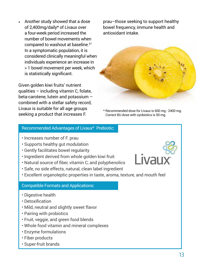• Another study showed that a dose of 2,400mg/daily\* of Livaux over a four-week period increased the number of bowel movements when compared to washout at baseline.57 In a symptomatic population, it is considered clinically meaningful when individuals experience an increase in > 1 bowel movement per week, which is statistically significant.

Given golden kiwi fruits' nutrient qualities – including vitamin C, folate, beta-carotene, lutein and potassium – combined with a stellar safety record, Livaux is suitable for all age groups seeking a product that increases F.

prau–those seeking to support healthy bowel frequency, immune health and antioxidant intake.



\* Recommended dose for Livaux is 600 mg - 2400 mg. Correct BU dose with synbiotics is 50 mg.

#### Recommended Advantages of Livaux® Prebiotic:

- Increases number of F. prau
- Supports healthy gut modulation
- Gently facilitates bowel regularity
- Ingredient derived from whole golden kiwi fruit
- Natural source of fiber, vitamin C, and polyphenolics
- Safe, no side effects, natural, clean label ingredient
- Excellent organoleptic properties in taste, aroma, texture, and mouth feel

## Compatible Formats and Applications:

- Digestive health
- Detoxification
- Mild, neutral and slightly sweet flavor
- Pairing with probiotics
- Fruit, veggie, and green food blends
- Whole food vitamin and mineral complexes
- Enzyme formulations
- Fiber products
- Super-fruit brands

Livau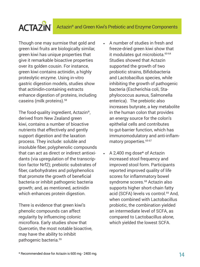## **ACTAZIN**

Though one may surmise that gold and green kiwi fruits are biologically similar, green kiwi has unique properties that give it remarkable bioactive properties over its golden cousin. For instance, green kiwi contains actinidin, a highly proteolytic enzyme. Using in-vitro gastric digestion models, studies show that actinidin-containing extracts enhance digestion of proteins, including caseins (milk proteins).58

The food-quality ingredient, Actazin®, derived from New Zealand green kiwi, contains a number of bioactive nutrients that effectively and gently support digestion and the laxation process. They include: soluble and insoluble fiber, polyphenolic compounds that can act as direct or indirect antioxidants (via upregulation of the transcription factor Nrf2); prebiotic substrates of fiber, carbohydrates and polyphenolics that promote the growth of beneficial bacteria or inhibit pathogenic bacteria growth; and, as mentioned, actinidin which enhances protein digestion.

There is evidence that green kiwi's phenolic compounds can affect regularity by influencing colonic microflora. Early studies show that Quercetin, the most notable bioactive, may have the ability to inhibit pathogenic bacteria.59

- A number of studies in fresh and freeze-dried green kiwi show that it modulates qut microbiota.<sup>60-64</sup> Studies showed that Actazin supported the growth of two probiotic strains, Bifidobacteria and Lactobacillus species, while inhibiting the growth of pathogenic bacteria (Escherichia coli, Staphylococcus aureus, Salmonella enterica). The prebiotic also increases butyrate, a key metabolite in the human colon that provides an energy source for the colon's epithelial cells and contributes to gut-barrier function, which has immunomodulatory and anti-inflammatory properties.<sup>65-67</sup>
- A 2,400 mg dose\* of Actazin increased stool frequency and improved stool form. Participants reported improved quality of life scores for inflammatory bowel syndrome scores.<sup>68</sup> Actazin also supports higher short-chain fatty acid (SCFA) levels vs control.<sup>69</sup> And. when combined with Lactobacillus probiotic, the combination yielded an intermediate level of SCFA, as compared to Lactobacillus alone, which yielded the lowest SCFA.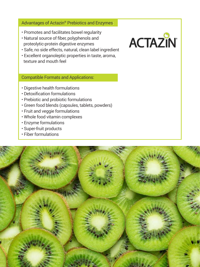## Advantages of Actazin® Prebiotics and Enzymes:

- Promotes and facilitates bowel regularity
- Natural source of fiber, polyphenols and proteolytic-protein digestive enzymes
- Safe, no side effects, natural, clean label ingredient

**ACTAZIN** 

• Excellent organoleptic properties in taste, aroma, texture and mouth feel

## Compatible Formats and Applications:

- Digestive health formulations
- Detoxification formulations
- Prebiotic and probiotic formulations
- Green food blends (capsules, tablets, powders)
- Fruit and veggie formulations
- Whole food vitamin complexes
- Enzyme formulations
- Super-fruit products
- Fiber formulations

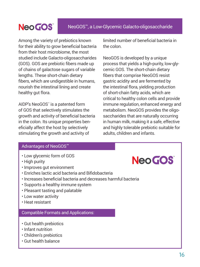## Neo GOS<sup>™</sup>NeoGOS™, a Low-Glycemic Galacto-oligosaccharide

Among the variety of prebiotics known for their ability to grow beneficial bacteria from their host microbiome, the most studied include Galacto-oligosaccharides (GOS). GOS are prebiotic fibers made up of chains of galactose sugars of variable lengths. These short-chain dietary fibers, which are undigestible in humans, nourish the intestinal lining and create healthy gut flora.

AIDP's NeoGOS™ is a patented form of GOS that selectively stimulates the growth and activity of beneficial bacteria in the colon. Its unique properties beneficially affect the host by selectively stimulating the growth and activity of

limited number of beneficial bacteria in the colon.

NeoGOS is developed by a unique process that yields a high-purity, low-glycemic GOS. The short-chain dietary fibers that comprise NeoGOS resist gastric acidity and are fermented by the intestinal flora, yielding production of short-chain fatty acids, which are critical to healthy colon cells and provide immune regulation, enhanced energy and metabolism. NeoGOS provides the oligosaccharides that are naturally occurring in human milk, making it a safe, effective and highly tolerable prebiotic suitable for adults, children and infants.

### Advantages of NeoGOS™

- Low glycemic form of GOS
- High purity
- Improves gut environment
- Enriches lactic acid bacteria and Bifidobacteria
- Increases beneficial bacteria and decreases harmful bacteria
- Supports a healthy immune system
- Pleasant tasting and palatable
- Low water activity
- Heat resistant

## Compatible Formats and Applications:

- Gut health prebiotics
- Infant nutrition
- Children's prebiotics
- Gut health balance

## Neo GOS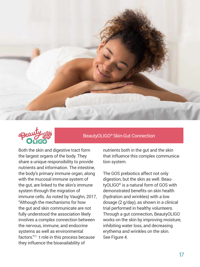



BeautyOLIGO® Skin-Gut Connection

Both the skin and digestive tract form the largest organs of the body. They share a unique responsibility to provide nutrients and information. The intestine, the body's primary immune organ, along with the mucosal immune system of the gut, are linked to the skin's immune system through the migration of immune cells. As noted by Vaughn, 2017, "Although the mechanisms for how the gut and skin communicate are not fully understood the association likely involves a complex connection between the nervous, immune, and endocrine systems as well as environmental factors."71 t role in this process because they influence the bioavailability of

nutrients both in the gut and the skin that influence this complex communication system.

The GOS prebiotics affect not only digestion, but the skin as well. BeautyOLIGO® is a natural form of GOS with demonstrated benefits on skin health (hydration and wrinkles) with a low dosage (2 g/day), as shown in a clinical trial performed in healthy volunteers. Through a gut connection, BeautyOLIGO works on the skin by improving moisture, inhibiting water loss, and decreasing erythema and wrinkles on the skin. See Figure 4.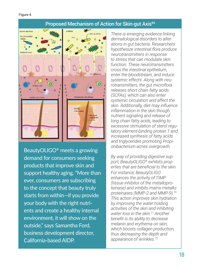## Proposed Mechanism of Action for Skin-gut Axis<sup>69</sup>



BeautyOLIGO® meets a growing demand for consumers seeking products that improve skin and support healthy aging. "More than ever, consumers are subscribing to the concept that beauty truly starts from within—if you provide your body with the right nutrients and create a healthy internal environment, it will show on the outside," says Samantha Ford, business development director, California-based AIDP.

*There is emerging evidence linking dermatological disorders to alterations in gut bacteria. Researchers hypothesize intestinal flora produce neurotransmitters in response to stress that can modulate skin function. These neurotransmitters cross the intestinal epithelium, enter the bloodstream, and induce systemic effects. Along with neurotransmitters, the gut microflora releases short chain fatty acids (SCFAs), which can also enter systemic circulation and affect the skin. Additionally, diet may influence inflammation in the skin though nutrient signaling and release of long chain fatty acids, leading to excessive stimulation of sterol regulatory element-binding protein 1 and increased synthesis of fatty acids and triglycerides promoting Propionibacterium acnes overgrowth.*

*By way of providing digestive support, BeautyOLIGO® exhibits properties that are beneficial to the skin. For instance, BeautyOLIGO enhances the activity of TIMP (tissue inhibitor of the metalloproteinase) and inhibits matrix metalloproteinases (MMP-2 and MMP-9).70 This action improves skin hydration by improving the water holding activities of the skin and inhibiting water loss in the skin.71 Another benefit is its ability to decrease melanin and erythema on skin, which boosts collagen production, thus decreasing the depth and appearance of wrinkles.72*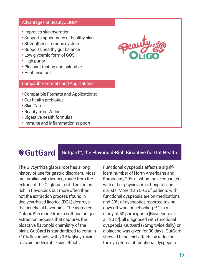#### Advantages of BeautyOLIGO®

- Improves skin hydration
- Supports appearance of healthy skin
- Strengthens immune system
- Supports healthy gut balance
- Low glycemic form of GOS
- High purity
- Pleasant tasting and palatable
- Heat resistant

## Compatible Formats and Applications:

- Compatible Formats and Applications:
- Gut health prebiotics
- Skin Care
- Beauty from Within
- Digestive health formulas
- Immune and inflammation support

## **WGutGard**

Gutgard™, the Flavonoid-Rich Bioactive for Gut Health

The Glycyrrhiza glabra root has a long history of use for gastric disorders. Most are familiar with licorice, made from the extract of the G. glabra root. The root is rich in flavonoids but more often than not the extraction process (found in deglycyrrhized licorice (DGL) destroys the beneficial flavonoids. The ingredient Gutgard® is made from a soft and unique extraction process that captures the bioactive flavonoid chemistry of the plant. GutGard is standardized to contain ≥10% flavonoids with <0.5% glycyrrhizin to avoid undesirable side effects.

Functional dyspepsia affects a significant number of North Americans and Europeans, 20% of whom have consulted with either physicians or hospital specialists. More than 50% of patients with functional dyspepsia are on medications and 30% of dyspeptics reported taking days off work or schooling.73-75 In a study of 50 participants [Raveendra et al., 2012], all diagnosed with functional dyspepsia, GutGard (75mg twice daily) or a placebo was given for 30 days. GutGard showed beneficial effects by reducing the symptoms of functional dyspepsia

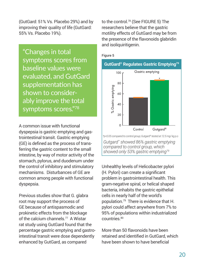(GutGard: 51% Vs. Placebo 29%) and by improving their quality of life (GutGard: 55% Vs. Placebo 19%).

"Changes in total symptoms scores from baseline values were evaluated, and GutGard supplementation has shown to considerably improve the total symptoms scores."<sup>78</sup>

A common issue with functional dyspepsia is gastric emptying and gastrointestinal transit. Gastric emptying (GE) is defined as the process of transferring the gastric content to the small intestine, by way of motor activity of the stomach, pylorus, and duodenum under the control of inhibitory and stimulatory mechanisms. Disturbances of GE are common among people with functional dyspepsia.

Previous studies show that G. glabra root may support the process of GE because of antispasmodic and prokinetic effects from the blockage of the calcium channels.<sup>77</sup> A Wistar rat study using GutGard found that the percentage gastric emptying and gastrointestinal transit were dose dependently enhanced by GutGard, as compared

to the control.78 (See FIGURE 5) The researchers believe that the gastric motility effects of GutGard may be from the presence of the flavonoids glabridin and isoliquiritigenin.



#### Figure 5

Unhealthy levels of Helicobacter pylori (H. Pylori) can create a significant problem in gastrointestinal health. This gram-negative spiral, or helical shaped bacteria, inhabits the gastric epithelial cells in nearly half of the world's population.79 There is evidence that H. pylori could affect anywhere from 7% to 95% of populations within industrialized countries.80

More than 50 flavonoids have been retained and identified in GutGard, which have been shown to have beneficial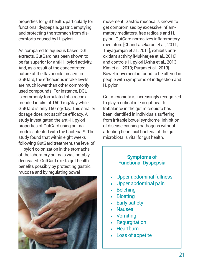properties for gut health, particularly for functional dyspepsia, gastric emptying and protecting the stomach from discomforts caused by H. pylori.

As compared to aqueous based DGL extracts, GutGard has been shown to be far superior for anti-H. pylori activity. And, as a result of the concentrated nature of the flavonoids present in GutGard, the efficacious intake levels are much lower than other commonly used compounds. For instance, DGL is commonly formulated at a recommended intake of 1500 mg/day while GutGard is only 150mg/day. This smaller dosage does not sacrifice efficacy. A study investigated the anti-H. pylori properties of GutGard using animal models infected with the bacteria.<sup>81</sup> The study found that within eight weeks following GutGard treatment, the level of H. pylori colonization in the stomachs of the laboratory animals was notably decreased. GutGard exerts gut health benefits possibly by protecting gastric mucosa and by regulating bowel



movement. Gastric mucosa is known to get compromised by excessive inflammatory mediators, free radicals and H. pylori. GutGard normalizes inflammatory mediators [Chandrasekaran et al., 2011; Thiyagarajan et al., 2011], exhibits antioxidant activity [Mukherjee et al., 2010] and controls H. pylori [Asha et al., 2013; Kim et al., 2013; Puram et al., 2013]. Bowel movement is found to be altered in people with symptoms of indigestion and H. pylori.

Gut microbiota is increasingly recognized to play a critical role in gut health. Imbalance in the gut microbiota has been identified in individuals suffering from irritable bowel syndrome. Inhibition of disease-causing pathogens without affecting beneficial bacteria of the gut microbiota is vital for gut health.

## Symptoms of Functional Dyspepsia

- Upper abdominal fullness
- Upper abdominal pain
- Belching
- **Bloating**
- Early satiety
- Nausea
- Vomiting
- Regurgitation
- **Heartburn**
- Loss of appetite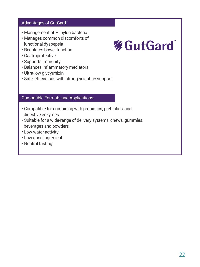## Advantages of GutGard™

- Management of H. pylori bacteria
- Manages common discomforts of functional dyspepsia
- Regulates bowel function
- Gastroprotective
- Supports Immunity
- Balances inflammatory mediators
- Ultra-low glycyrrhizin
- Safe, efficacious with strong scientific support

## Compatible Formats and Applications:

- Compatible for combining with probiotics, prebiotics, and digestive enzymes
- Suitable for a wide-range of delivery systems, chews, gummies, beverages and powders
- Low-water activity
- Low-dose ingredient
- Neutral tasting

## **% GutGard**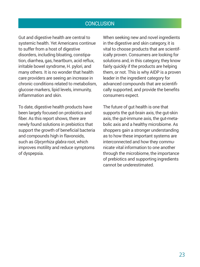## **CONCLUSION**

Gut and digestive health are central to systemic health. Yet Americans continue to suffer from a host of digestive disorders, including bloating, constipation, diarrhea, gas, heartburn, acid reflux, irritable bowel syndrome, H. pylori, and many others. It is no wonder that health care providers are seeing an increase in chronic conditions related to metabolism, glucose markers, lipid levels, immunity, inflammation and skin.

To date, digestive health products have been largely focused on probiotics and fiber. As this report shows, there are newly found solutions in prebiotics that support the growth of beneficial bacteria and compounds high in flavonoids, such as *Glycyrrhiza glabra* root, which improves motility and reduce symptoms of dyspepsia.

When seeking new and novel ingredients in the digestive and skin category, it is vital to choose products that are scientifically proven. Consumers are looking for solutions and, in this category, they know fairly quickly if the products are helping them, or not. This is why AIDP is a proven leader in the ingredient category for advanced compounds that are scientifically supported, and provide the benefits consumers expect.

The future of gut health is one that supports the gut-brain axis, the gut-skin axis, the gut-immune axis, the gut-metabolic axis and a healthy microbiome. As shoppers gain a stronger understanding as to how these important systems are interconnected and how they communicate vital information to one another through the microbiome, the importance of prebiotics and supporting ingredients cannot be underestimated.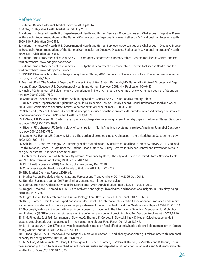## **References**

1. Nutrition Business Journal, Market Overview 2019, p13,14.

2. Mintel, US Digestive Health Market Report, July 2018.

3. National Institutes of Health, U.S. Department of Health and Human Services. Opportunities and Challenges in Digestive Diseases Research: Recommendations of the National Commission on Digestive Diseases. Bethesda, MD: National Institutes of Health; 2009. NIH Publication 08–6514.

4. National Institutes of Health, U.S. Department of Health and Human Services. Opportunities and Challenges in Digestive Diseases Research: Recommendations of the National Commission on Digestive Diseases. Bethesda, MD: National Institutes of Health; 2009. NIH Publication 08–6514.

5. National ambulatory medical care survey: 2010 emergency department summary tables. Centers for Disease Control and Prevention website. www.cdc.gov/nchs/ahcd

6. National ambulatory medical care survey: 2010 outpatient department summary tables. Centers for Disease Control and Prevention website. www.cdc.gov/nchs/ahcd

7. CDC/NCHS national hospital discharge survey: United States, 2010. Centers for Disease Control and Prevention website. www. cdc.gov/nchs/data/nhds

8. Everhart JE, ed. The Burden of Digestive Diseases in the United States. Bethesda, MD: National Institute of Diabetes and Digestive and Kidney Diseases, U.S. Department of Health and Human Services; 2008. NIH Publication 09–6433.

9. Higgins PD, Johanson JF. Epidemiology of constipation in North America: a systematic review. American Journal of Gastroenterology. 2004;99:750–759.

10. Centers for Disease Control, National Ambulatory Medical Care Survey: 2016 National Summary Tables.

11. United States Department of Agriculture Agricultural Research Service. Dietary fiber (g): usual intakes from food and water, 2003–2006, compared to adequate intakes. What we eat in America, NHANES. 2003–2006.

12. Schmier JK, Miller PE, Levine JA, et al. Cost savings of reduced constipation rates attributed to increased dietary fiber intakes: a decision-analytic model. BMC Public Health. 2014;14:374.

13. El-Serag HB, Petersen NJ, Carter J, et al. Gastroesophageal reflux among different racial groups in the United States. Gastroenterology. 2004;126:1692–1699.

14. Higgins PD, Johanson JF. Epidemiology of constipation in North America: a systematic review. American Journal of Gastroenterology. 2004;99:750–759.

15. Sandler RS, Everhart JE, Donowitz M, et al. The burden of selected digestive diseases in the United States. Gastroenterology. 2002;122:1500–1511.

16. Schiller JS, Lucas JW, Peregoy JA. Summary health statistics for U.S. adults: national health interview survey, 2011. Vital and Health Statistics, Series 10: Data from the National Health Interview Survey. Centers for Disease Control and Prevention website. cdc.gov/nchs/data. Published December 2012.

17 Centers for Disease Control. Metabolic Syndrome Prevalence by Race/Ethnicity and Sex in the United States, National Health and Nutrition Examination Survey, 1988–2012. 2017;14.

18. KIND Healthy Snacks (KIND), Nutrition Collective Survey, Dec. 2018.

19. Consumer Reports. Healthy Food Trends to Watch in 2019. Jan. 22, 2019.

20. NBJ Market Overview Report, 2019, p8.

21. Market Report, Prebiotics Market Size, and Forecast and Trend Analysis, 2014 – 2025, Oct. 2018.

22. Nutrition Business Journal, 2017, (preliminary estimates; mil, consumer sales)

23. Fatima Amon, Ian Anderson. What is the Microbiome? Arch Dis Child Educ Pract Ed. 2017;102:257-260.

24. Nagpal R, Mainali R, Ahmadi S, et al. Gut microbiome and aging: Physiological and mechanistic insights. Nutr Healthy Aging. 2018;4(4):267–285.

25. Knight R, et al. The Microbiome and Human Biology. Annu Rev Genomics Hum Genet. 2017; 18:65-86.

26. Hill C, Guarner F, Reid G, et al. Expert consensus document. The International Scientific Association for Probiotics and Prebiot-

ics consensus statement on the scope and appropriate use of the term probiotic. Nat Rev Gastroenterol Hepatol 2014;11:506–14.

27. Gibson GR, Hutkins R, Sanders ME, et al. Expert consensus document: The International Scientific Association for Probiotics and Prebiotics (ISAPP) consensus statement on the definition and scope of prebiotics. Nat Rev Gastroenterol Hepatol 2017;14 10.

28. S.M. Finegold, Z. Li, P.H. Summanen, J. Downes, G. Thames, K. Corbett, S. Dowd, M. Krak, D. Heber. Xylooligosaccharide increases bifidobacteria but not lactobacilli in human gut microbiota. Food Funct. 2014;5(3):436-45.

29. M. H. Na and W. K. Kim, Effects of xylooligosaccharide intake on fecal bifdobacteria, lactic acid and lipid metabolism in Korean young women, Korean J. Nutr., 2007;40:154–161.

30. Turnbaugh PJ, Ley RE, Mahowald MA, Magrini V, Mardis ER, Gordon JI. And obesity-associated gut microbiome with increased capacity for energy harvest. Nature, 2006;444:21-28.

31. M. Million, M. Maraninchi, M. Henry, F. Armougom, H. Richet, P. Carrieri, R. Valero, D. Raccah, B. Vialettes and D. Raoult, Obesity-associated gut microbiota is enriched in Lactobacillus reuteri and depleted in Bifidobacterium animalis and Methanobrevibacter smithii, Int. J. Obes., 2012;36:817–825.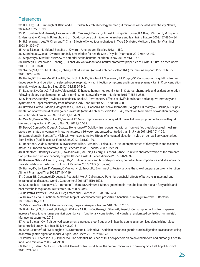## **References**

32. R. E. Ley, P. J. Turnbaugh, S. Klein and J. I. Gordon, Microbial ecology: human gut microbes associated with obesity, Nature, 2006;444:1022–1023.

33. P.J.Turnbaugh,M.Hamady,T.Yatsunenko,B.L.Cantarel,A.Duncan,R.E.Ley,M.L.Sogin,W.J.Jones,B.A.Roe,J.P.Affourtit, M. Egholm, B. Henrissat, A. C. Heath, R. Knight and J. I. Gordon, A core gut microbiome in obese and lean twins, Nature, 2009:457;480–484. 34. H.S. Wayne, I. Lee, W. Chen, and Y. Chan, Effects of Xylooligosaccharides in Type 2 Diabetes Mellitus, J Nutr Sci Vitaminol, 2008;54:396-401.

35. Ansell J, et al: Nutritional Benefits of Kiwifruit. Amsterdam, Elsevier, 2013; 1-350.

36. Stonehouse,W, et al: Kiwifruit: our daily prescription for health. Can J Physiol Pharmacol 2013;91:442-447.

37. Singletary,K: Kiwifruit: overview of potential health benefits. Nutrition Today 2012;47:133-147.

38. Hunter,DC, Greenwood,J, Zhang,J, Skinner,MA: Antioxidant and 'natural protective' properties of kiwifruit. Curr Top Med Chem 2011;11:1811-1820.

39. Skinner,MA, Loh,JM, Hunter,DC, Zhang,J: Gold kiwifruit (Actinidia chinensis 'Hort16A') for immune support. Proc Nutr Soc 2011;70:276-280.

40. Hunter,DC, Skinner,MA, Wolber,FM, Booth,CL, Loh,JM, Wohlers,M, Stevenson,LM, Kruger,MC: Consumption of gold kiwifruit reduces severity and duration of selected upper respiratory tract infection symptoms and increases plasma vitamin C concentration in healthy older adults. Br J Nutr 2012;108:1235-1245.

41. Bozonet,SM, Carr,AC, Pullar,JM, Vissers,MC: Enhanced human neutrophil vitamin C status, chemotaxis and oxidant generation following dietary supplementation with vitamin C-rich SunGold kiwifruit. Nutrients2015; 7:2574- 2588.

42. Skinner,MA, Bentley-Hewitt,K, Rosendale,D, Naoko,S, Pernthaner,A: Effects of kiwifruit on innate and adaptive immunity and symptoms of upper respiratory tract infections. Adv Food Nutr Res2013; 68:301-320.

43. Brevik,A, Gaivao,I, Medin,T, Jorgenesen,A, Piasek,A, Elilasson,J, Karlsen,A, Blomhoff,R, Veggan,T, Duttaroy,AK, Collins,AR: Supplementation of a western diet with golden kiwifruits (Actinidia chinensis var.'Hort 16A':) effects on biomarkers of oxidation damage and antioxidant protection. Nutr J, 2011;10:54-63.

44. Carr,AC, Bozonet,SM, Pullar,JM, Vissers,MC: Mood improvement in young adult males following supplementation with gold kiwifruit, a high-vitamin C food. J Nutr Sci 2013;2:24-32.

45. Beck,K, Conlon,CA, Kruger,R, Coad,J, Stonehouse,W: Gold kiwifruit consumed with an iron-fortified breakfast cereal meal improves iron status in women with low iron stores: a 16-week randomized controlled trial. Br J Nutr 2011;105:101- 109.

46. Carnachan,SM, Bootten,TJ, Mishra,S, Monro,JA, Sims,IM: Effects of simulated digestion in vitro on cell wall polysaccharides from kiwifruit (Actinidia spp.). Food Chem 2012;133:132-139.

47. Robertson,JA, de Monredon,FD, Dysseler,P, Guillon,F, Amado,R, Thibault,J-F: Hydration properties of dietary fibre and resistant starch: a European collaborative study. Lebensm-Wiss u-Technol 2000;33:72-79.

48. Blatchford,P, Bentley-Hewitt,KL, Stoklosinski,H, McGhie,T, Gearry,R, Gibson,G, Ansell,J: In vitro characterization of the fermentation profile and prebiotic capacity of gold- fleshed kiwifruit. Benef Microbes2015; 6:829-839.

49. Riviere,A, Selak,M, Lantin,D, Leroy,F, De,VL: Bifidobacteria and butyrate-producing colon bacteria: importance and strategies for their stimulation in the human gut. Front Microbiol 2016;7:979 (21 pages).

50. Hamer,HM, Jonkers,D, Venema,K, Vanhoutvin,S, Troost,FJ, Brummer,RJ: Review article: the role of butyrate on colonic function. Aliment Pharmacol Ther 2008;27:104-119.

51.. Canani,RB, Costanzo,MD, Leone,L, Pedata,M, Meli,R, Calignano,A: Potential beneficial effects of butyrate in intestinal and extraintestinal diseases. World J Gastroenterol 2011;17:1519-1528.

52. Kasubuchi,M, Hasegawa,S, Hiramatsu,T, Ichimura,A, Kimura,I: Dietary gut microbial metabolites, short-chain fatty acids, and host metabolic regulation. Nutrients 2015;7:2839-2849.

53. Bollrath,J, Powrie,F: Feed your Tregs more fiber. Science 2013;341:463-464.

54. Heinken a et al. Functional Metabolic Map of Faecalibacterium prasnitzii, a beneficial human gut microbe. J Bacteriol 196:3289-3302,2014.

55. Valesquez-Manoff, MT. Gut microbiome, the peacekeepers. Nature. 518:S3-S11,2015.

56. Blatchford,P, Stoklosinski,H, Eady,SL, Wallace,AJ, Butts,CA, Gearry,R, Gibson,G, Ansell,J: Consumption of kiwifruit capsules increase Faecalibacterium prausnitzii abundance in functionally constipated individuals: a randomized controlled human trial. Manuscript submitted 2017

57. Ansell, J et al. Kiwi-fruit derived supplements increase stool frequency in healthy adults: a randomized double-blind, placebo-controlled study. Nutr Res 35:401-408,2015.

58. Kaur L, Rutherfurd SM, Moughan PJ, Drummond L, Boland MJ. Actinidin enhances gastric protein digestion as assessed using an in vitro gastric digestion model. J Agric Food Chem 2010;58:5068-73.

59. Parkar SG, Stevenson DE, Skinner MA. The potential influence of fruit polyphenols on colonic microflora and human gut health. Int J Food Microbiol 2008;124:295-8.

60. Han KS, Balan P, Molist GF, Boland M. Green kiwifruit modulates the colonic microbiota in growing pigs. Lett Appl Microbiol 2011;52:379-85.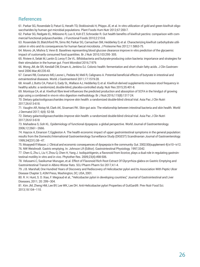## **References**

61. Parkar SG, Rosendale D, Paturi G, Herath TD, Stoklosinski H, Phipps JE, et al. In vitro utilization of gold and green kiwifruit oligosaccharides by human gut microbial populations. Plant Foods Hum Nutr 2012;67:200-7.

62. Parkar SG, Redgate EL, Wibisono R, Luo X, Koh ET, Schroeder R. Gut health benefits of kiwifruit pectins: comparison with commercial functional polysaccharides. J Functional Foods 2010;2:210-8.

63. Rosendale DI, Blatchford PA, Sims IM, Parkar SG, Carnachan SM, Hedderley D, et al. Characterizing kiwifruit carbohydrate utilization in vitro and its consequences for human faecal microbiota. J Proteome Res 2012;11:5863-75.

64. Monro JA, Mishra S, Venn B. Baselines representing blood glucose clearance improve in vitro prediction of the glycaemic impact of customarily consumed food quantities. Br J Nutr 2010;103:295- 305.

65. Riviere A, Selak M, Lantin D, Leroy F, De VL. Bifidobacteria and butyrate-producing colon bacteria: importance and strategies for their stimulation in the human gut. Front Microbiol 2016;7:979.

66. Wong JM, de SR, Kendall CW, Emam A, Jenkins DJ. Colonic health: fermentation and short chain fatty acids. J Clin Gastroenterol 2006 Mar;40:235-43.

67. Canani RB, Costanzo MD, Leone L, Pedata M, Meli R, Calignano A. Potential beneficial effects of butyrate in intestinal and extraintestinal diseases. World J Gastroenterol 2011;17:1519-28.

68. Ansell J, Butts CA, Paturi G, Eady SL, Wallace AJ, Hedderley D, et al. Kiwifruit-derived supplements increase stool frequency in healthy adults: a randomized, double-blind, placebo-controlled study. Nutr Res 2015;35:401-8.

69. Montoya CA, et al. Kiwifruit fibre level influences the predicted production and absorption of SCFA in the hindgut of growing pigs using a combined in vivo-in vitro digestion methodology. Br J Nutr.2016;115(8):1317-24.

70. Dietary galactooligosaccharides improve skin health: a randomized double-blind clinical trial. Asia Pac J Clin Nutri 2017;26:613-618.

71. Vaughn AR, Notay M, Clark AK, Sivamani RK. Skin-gut axis: The relationship between intestinal bacteria and skin health. World J Dermatol 2017; 6(4): 52-58.

72. Dietary galactooligosaccharides improve skin health: a randomized double-blind clinical trial. Asia Pac J Clin Nutri 2017;26:613-618

73. Mahadeva S, Goh KL. Epidemiology of functional dyspepsia: a global perspective. World Journal of Gastroenterology. 2006;12:2661–2666.

74. Haycox A, Einarson T, Eggleston A. The health economic impact of upper gastrointestinal symptoms in the general population: results from the Domestic/International Gastroenterology Surveillance Study (DIGEST) Scandinavian Journal of Gastroenterology. 1999;34(231):38–47.

75. Moayyedi P, Mason J. Clinical and economic consequences of dyspepsia in the community. Gut. 2002;50(supplement 4):iv10–iv12. 76. NW Weishrodt. Gastric emptying. In: Johnson LR (Editor). Gastrointestinal Physiology. 1997;3342.

77. Chen G, Zhu L, Liu Y, Zhou Q, Chen H, Yang J. Isoliquiritigenin, a flavonoid from licorice, plays a dual role in regulating gastrointestinal motility in vitro and in vivo. Phytother Res. 2009;23(4):498-506.

78. Velusami.C, Sasikumar Murugan, et.al. Effect of Flavonoid Rich Root Extract Of Glycyrrhiza glabra on Gastric Emptying and Gastrointestinal Transit in Albino Wistar Rats. SOJ Pharm Pharm Sci 2017;4:1-4.

79. J.B. Marshall, One Hundred Years of Discovery and Rediscovery of Helicobacter pylori and Its Association With Peptic Ulcer Disease Chapter 3, ASM Press, Washington, DC, USA, 2001.

80. R. H. Hunt, S. D. Xiao, F. Megraud et al., "Helicobacter pylori in developing countries," Journal of Gastrointestinal and Liver Diseases, 2011; 20: 299–304.

81. Kim JM, Zheng HM, Lee BY, Lee WK, Lee DH. Anti-Helicobacter pylori Properties of GutGard®. Prev Nutr Food Sci. 2013;18:104–110.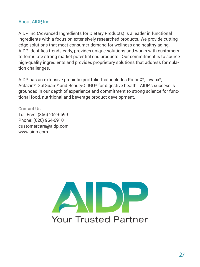## About AIDP, Inc.

AIDP Inc.(Advanced Ingredients for Dietary Products) is a leader in functional ingredients with a focus on extensively researched products. We provide cutting edge solutions that meet consumer demand for wellness and healthy aging. AIDP, identifies trends early, provides unique solutions and works with customers to formulate strong market potential end products. Our commitment is to source high-quality ingredients and provides proprietary solutions that address formulation challenges.

AIDP has an extensive prebiotic portfolio that includes PreticX®, Livaux®, Actazin®, GutGuard® and BeautyOLIGO® for digestive health. AIDP's success is grounded in our depth of experience and commitment to strong science for functional food, nutritional and beverage product development.

Contact Us: Toll Free: (866) 262-6699 Phone: (626) 964-6910 customercare@aidp.com www.aidp.com